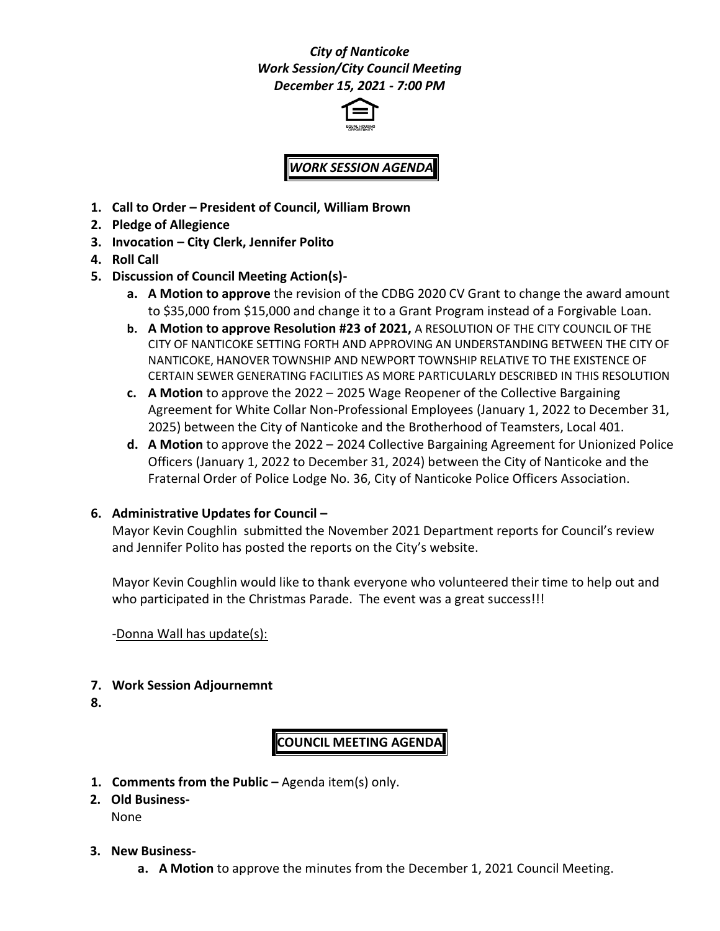## *City of Nanticoke Work Session/City Council Meeting December 15, 2021 - 7:00 PM*



# *WORK SESSION AGENDA*

- **1. Call to Order – President of Council, William Brown**
- **2. Pledge of Allegience**
- **3. Invocation – City Clerk, Jennifer Polito**
- **4. Roll Call**
- **5. Discussion of Council Meeting Action(s)**
	- **a. A Motion to approve** the revision of the CDBG 2020 CV Grant to change the award amount to \$35,000 from \$15,000 and change it to a Grant Program instead of a Forgivable Loan.
	- **b. A Motion to approve Resolution #23 of 2021,** A RESOLUTION OF THE CITY COUNCIL OF THE CITY OF NANTICOKE SETTING FORTH AND APPROVING AN UNDERSTANDING BETWEEN THE CITY OF NANTICOKE, HANOVER TOWNSHIP AND NEWPORT TOWNSHIP RELATIVE TO THE EXISTENCE OF CERTAIN SEWER GENERATING FACILITIES AS MORE PARTICULARLY DESCRIBED IN THIS RESOLUTION
	- **c. A Motion** to approve the 2022 2025 Wage Reopener of the Collective Bargaining Agreement for White Collar Non-Professional Employees (January 1, 2022 to December 31, 2025) between the City of Nanticoke and the Brotherhood of Teamsters, Local 401.
	- **d. A Motion** to approve the 2022 2024 Collective Bargaining Agreement for Unionized Police Officers (January 1, 2022 to December 31, 2024) between the City of Nanticoke and the Fraternal Order of Police Lodge No. 36, City of Nanticoke Police Officers Association.

#### **6. Administrative Updates for Council –**

Mayor Kevin Coughlin submitted the November 2021 Department reports for Council's review and Jennifer Polito has posted the reports on the City's website.

Mayor Kevin Coughlin would like to thank everyone who volunteered their time to help out and who participated in the Christmas Parade. The event was a great success!!!

-Donna Wall has update(s):

#### **7. Work Session Adjournemnt**

**8.**

## **COUNCIL MEETING AGENDA**

- **1. Comments from the Public –** Agenda item(s) only.
- **2. Old Business-**None
- **3. New Business**
	- **a. A Motion** to approve the minutes from the December 1, 2021 Council Meeting.